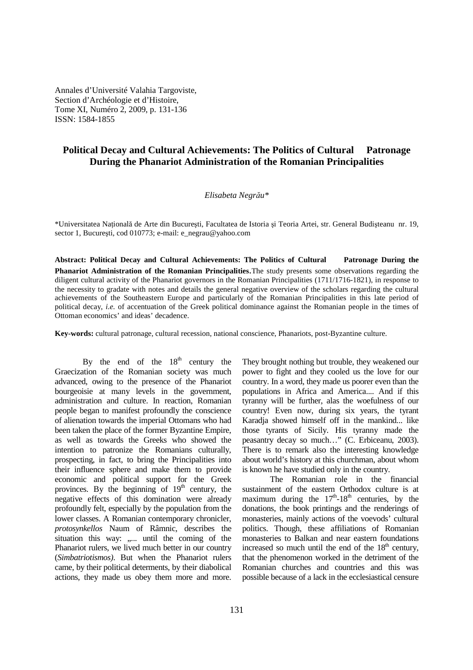Annales d'Université Valahia Targoviste, Section d'Archéologie et d'Histoire, Tome XI, Numéro 2, 2009, p. 131-136 ISSN: 1584-1855

# **Political Decay and Cultural Achievements: The Politics of Cultural Patronage During the Phanariot Administration of the Romanian Principalities**

### *Elisabeta Negrău\**

\*Universitatea Natională de Arte din București, Facultatea de Istoria și Teoria Artei, str. General Budișteanu nr. 19, sector 1, București, cod 010773; e-mail: e\_negrau@yahoo.com

**Abstract: Political Decay and Cultural Achievements: The Politics of Cultural Patronage During the Phanariot Administration of the Romanian Principalities**.The study presents some observations regarding the diligent cultural activity of the Phanariot governors in the Romanian Principalities (1711/1716-1821), in response to the necessity to gradate with notes and details the general negative overview of the scholars regarding the cultural achievements of the Southeastern Europe and particularly of the Romanian Principalities in this late period of political decay, *i.e.* of accentuation of the Greek political dominance against the Romanian people in the times of Ottoman economics' and ideas' decadence.

**Key-words:** cultural patronage, cultural recession, national conscience, Phanariots, post-Byzantine culture.

By the end of the  $18<sup>th</sup>$  century the Graecization of the Romanian society was much advanced, owing to the presence of the Phanariot bourgeoisie at many levels in the government, administration and culture. In reaction, Romanian people began to manifest profoundly the conscience of alienation towards the imperial Ottomans who had been taken the place of the former Byzantine Empire, as well as towards the Greeks who showed the intention to patronize the Romanians culturally, prospecting, in fact, to bring the Principalities into their influence sphere and make them to provide economic and political support for the Greek provinces. By the beginning of  $19<sup>th</sup>$  century, the negative effects of this domination were already profoundly felt, especially by the population from the lower classes. A Romanian contemporary chronicler, *protosynkellos* Naum of Râmnic, describes the situation this way: ..... until the coming of the Phanariot rulers, we lived much better in our country (*Simbatriotismos)*. But when the Phanariot rulers came, by their political determents, by their diabolical actions, they made us obey them more and more.

They brought nothing but trouble, they weakened our power to fight and they cooled us the love for our country. In a word, they made us poorer even than the populations in Africa and America.... And if this tyranny will be further, alas the woefulness of our country! Even now, during six years, the tyrant Karadja showed himself off in the mankind... like those tyrants of Sicily. His tyranny made the peasantry decay so much…" (C. Erbiceanu, 2003). There is to remark also the interesting knowledge about world's history at this churchman, about whom is known he have studied only in the country.

The Romanian role in the financial sustainment of the eastern Orthodox culture is at maximum during the  $17<sup>th</sup> - 18<sup>th</sup>$  centuries, by the donations, the book printings and the renderings of monasteries, mainly actions of the voevods' cultural politics. Though, these affiliations of Romanian monasteries to Balkan and near eastern foundations increased so much until the end of the  $18<sup>th</sup>$  century, that the phenomenon worked in the detriment of the Romanian churches and countries and this was possible because of a lack in the ecclesiastical censure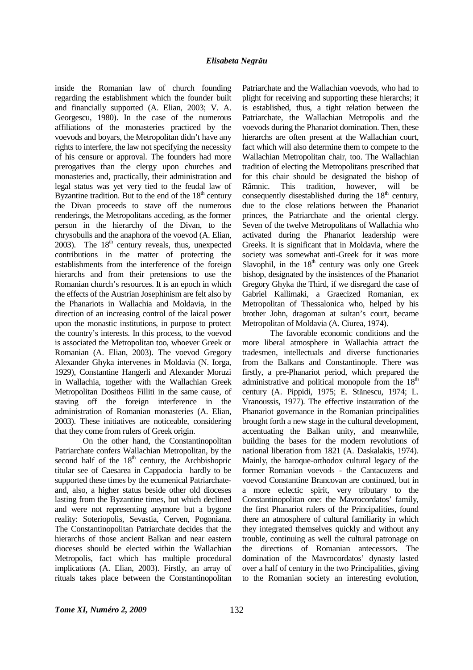inside the Romanian law of church founding regarding the establishment which the founder built and financially supported (A. Elian, 2003; V. A. Georgescu, 1980). In the case of the numerous affiliations of the monasteries practiced by the voevods and boyars, the Metropolitan didn't have any rights to interfere, the law not specifying the necessity of his censure or approval. The founders had more prerogatives than the clergy upon churches and monasteries and, practically, their administration and legal status was yet very tied to the feudal law of Byzantine tradition. But to the end of the  $18<sup>th</sup>$  century the Divan proceeds to stave off the numerous renderings, the Metropolitans acceding, as the former person in the hierarchy of the Divan, to the chrysobulls and the anaphora of the voevod (A. Elian, 2003). The  $18<sup>th</sup>$  century reveals, thus, unexpected contributions in the matter of protecting the establishments from the interference of the foreign hierarchs and from their pretensions to use the Romanian church's resources. It is an epoch in which the effects of the Austrian Josephinism are felt also by the Phanariots in Wallachia and Moldavia, in the direction of an increasing control of the laical power upon the monastic institutions, in purpose to protect the country's interests. In this process, to the voevod is associated the Metropolitan too, whoever Greek or Romanian (A. Elian, 2003). The voevod Gregory Alexander Ghyka intervenes in Moldavia (N. Iorga, 1929), Constantine Hangerli and Alexander Moruzi in Wallachia, together with the Wallachian Greek Metropolitan Dositheos Filliti in the same cause, of staving off the foreign interference in the administration of Romanian monasteries (A. Elian, 2003). These initiatives are noticeable, considering that they come from rulers of Greek origin.

On the other hand, the Constantinopolitan Patriarchate confers Wallachian Metropolitan, by the second half of the  $18<sup>th</sup>$  century, the Archbishopric titular see of Caesarea in Cappadocia –hardly to be supported these times by the ecumenical Patriarchateand, also, a higher status beside other old dioceses lasting from the Byzantine times, but which declined and were not representing anymore but a bygone reality: Soteriopolis, Sevastia, Cerven, Pogoniana. The Constantinopolitan Patriarchate decides that the hierarchs of those ancient Balkan and near eastern dioceses should be elected within the Wallachian Metropolis, fact which has multiple procedural implications (A. Elian, 2003). Firstly, an array of rituals takes place between the Constantinopolitan

Patriarchate and the Wallachian voevods, who had to plight for receiving and supporting these hierarchs; it is established, thus, a tight relation between the Patriarchate, the Wallachian Metropolis and the voevods during the Phanariot domination. Then, these hierarchs are often present at the Wallachian court, fact which will also determine them to compete to the Wallachian Metropolitan chair, too. The Wallachian tradition of electing the Metropolitans prescribed that for this chair should be designated the bishop of Râmnic. This tradition, however, will be consequently disestablished during the  $18<sup>th</sup>$  century, due to the close relations between the Phanariot princes, the Patriarchate and the oriental clergy. Seven of the twelve Metropolitans of Wallachia who activated during the Phanariot leadership were Greeks. It is significant that in Moldavia, where the society was somewhat anti-Greek for it was more Slavophil, in the  $18<sup>th</sup>$  century was only one Greek bishop, designated by the insistences of the Phanariot Gregory Ghyka the Third, if we disregard the case of Gabriel Kallimaki, a Graecized Romanian, ex Metropolitan of Thessalonica who, helped by his brother John, dragoman at sultan's court, became Metropolitan of Moldavia (A. Ciurea, 1974).

The favorable economic conditions and the more liberal atmosphere in Wallachia attract the tradesmen, intellectuals and diverse functionaries from the Balkans and Constantinople. There was firstly, a pre-Phanariot period, which prepared the administrative and political monopole from the  $18<sup>th</sup>$ century (A. Pippidi, 1975; E. Stănescu, 1974; L. Vranoussis, 1977). The effective instauration of the Phanariot governance in the Romanian principalities brought forth a new stage in the cultural development, accentuating the Balkan unity, and meanwhile, building the bases for the modern revolutions of national liberation from 1821 (A. Daskalakis, 1974). Mainly, the baroque-orthodox cultural legacy of the former Romanian voevods - the Cantacuzens and voevod Constantine Brancovan are continued, but in a more eclectic spirit, very tributary to the Constantinopolitan one: the Mavrocordatos' family, the first Phanariot rulers of the Principalities, found there an atmosphere of cultural familiarity in which they integrated themselves quickly and without any trouble, continuing as well the cultural patronage on the directions of Romanian antecessors. The domination of the Mavrocordatos' dynasty lasted over a half of century in the two Principalities, giving to the Romanian society an interesting evolution,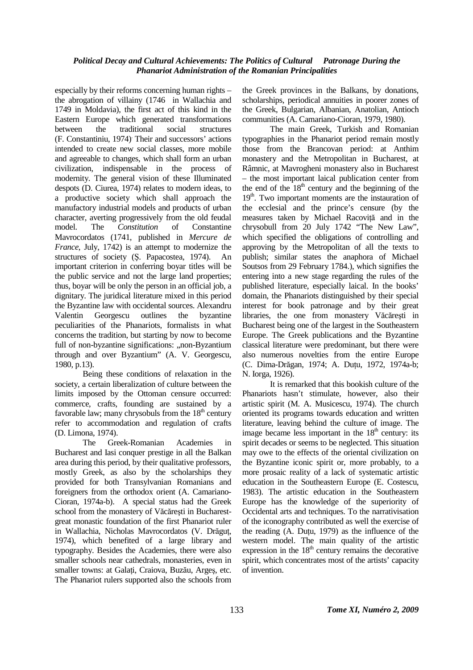## *Political Decay and Cultural Achievements: The Politics of Cultural Patronage During the Phanariot Administration of the Romanian Principalities*

especially by their reforms concerning human rights – the abrogation of villainy (1746 in Wallachia and 1749 in Moldavia), the first act of this kind in the Eastern Europe which generated transformations between the traditional social structures (F. Constantiniu, 1974). Their and successors' actions intended to create new social classes, more mobile and agreeable to changes, which shall form an urban civilization, indispensable in the process of modernity. The general vision of these Illuminated despots (D. Ciurea, 1974) relates to modern ideas, to a productive society which shall approach the manufactory industrial models and products of urban character, averting progressively from the old feudal model. The *Constitution* of Constantine Mavrocordatos (1741, published in *Mercure de France*, July, 1742) is an attempt to modernize the structures of society (Ş. Papacostea, 1974). An important criterion in conferring boyar titles will be the public service and not the large land properties; thus, boyar will be only the person in an official job, a dignitary. The juridical literature mixed in this period the Byzantine law with occidental sources. Alexandru Valentin Georgescu outlines the byzantine peculiarities of the Phanariots, formalists in what concerns the tradition, but starting by now to become full of non-byzantine significations: "non-Byzantium through and over Byzantium" (A. V. Georgescu, 1980, p.13).

Being these conditions of relaxation in the society, a certain liberalization of culture between the limits imposed by the Ottoman censure occurred: commerce, crafts, founding are sustained by a favorable law; many chrysobuls from the  $18<sup>th</sup>$  century refer to accommodation and regulation of crafts (D. Limona, 1974).

The Greek-Romanian Academies in Bucharest and Iasi conquer prestige in all the Balkan area during this period, by their qualitative professors, mostly Greek, as also by the scholarships they provided for both Transylvanian Romanians and foreigners from the orthodox orient (A. Camariano-Cioran, 1974a-b). A special status had the Greek school from the monastery of Văcărești in Bucharestgreat monastic foundation of the first Phanariot ruler in Wallachia, Nicholas Mavrocordatos (V. Drăguț, 1974), which benefited of a large library and typography. Besides the Academies, there were also smaller schools near cathedrals, monasteries, even in smaller towns: at Galați, Craiova, Buzău, Argeș, etc. The Phanariot rulers supported also the schools from

the Greek provinces in the Balkans, by donations, scholarships, periodical annuities in poorer zones of the Greek, Bulgarian, Albanian, Anatolian, Antioch communities (A. Camariano-Cioran, 1979, 1980).

The main Greek, Turkish and Romanian typographies in the Phanariot period remain mostly those from the Brancovan period: at Anthim monastery and the Metropolitan in Bucharest, at Râmnic, at Mavrogheni monastery also in Bucharest – the most important laical publication center from the end of the  $18<sup>th</sup>$  century and the beginning of the  $19<sup>th</sup>$ . Two important moments are the instauration of the ecclesial and the prince's censure (by the measures taken by Michael Racoviță and in the chrysobull from 20 July 1742 "The New Law", which specified the obligations of controlling and approving by the Metropolitan of all the texts to publish; similar states the anaphora of Michael Soutsos from 29 February 1784.), which signifies the entering into a new stage regarding the rules of the published literature, especially laical. In the books' domain, the Phanariots distinguished by their special interest for book patronage and by their great libraries, the one from monastery Văcăreşti in Bucharest being one of the largest in the Southeastern Europe. The Greek publications and the Byzantine classical literature were predominant, but there were also numerous novelties from the entire Europe (C. Dima-Drăgan, 1974; A. Duțu, 1972, 1974a-b; N. Iorga, 1926).

It is remarked that this bookish culture of the Phanariots hasn't stimulate, however, also their artistic spirit (M. A. Musicescu, 1974). The church oriented its programs towards education and written literature, leaving behind the culture of image. The image became less important in the  $18<sup>th</sup>$  century: its spirit decades or seems to be neglected. This situation may owe to the effects of the oriental civilization on the Byzantine iconic spirit or, more probably, to a more prosaic reality of a lack of systematic artistic education in the Southeastern Europe (E. Costescu, 1983). The artistic education in the Southeastern Europe has the knowledge of the superiority of Occidental arts and techniques. To the narrativisation of the iconography contributed as well the exercise of the reading  $(A. D$ utu, 1979) as the influence of the western model. The main quality of the artistic expression in the  $18<sup>th</sup>$  century remains the decorative spirit, which concentrates most of the artists' capacity of invention.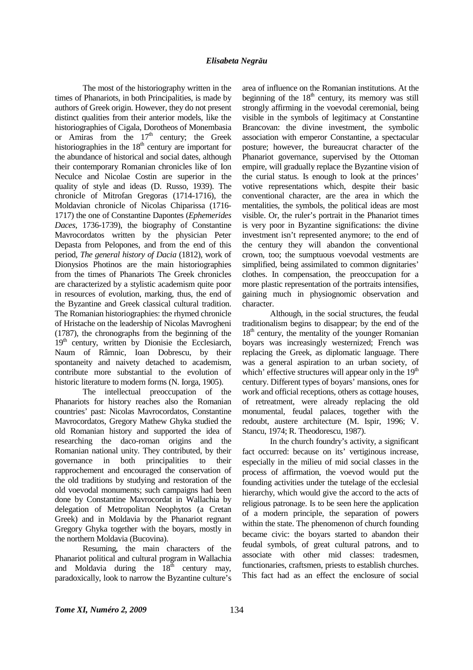### *Elisabeta Negrău*

The most of the historiography written in the times of Phanariots, in both Principalities, is made by authors of Greek origin. However, they do not present distinct qualities from their anterior models, like the historiographies of Cigala, Dorotheos of Monembasia or Amiras from the  $17<sup>th</sup>$  century; the Greek historiographies in the  $18<sup>th</sup>$  century are important for the abundance of historical and social dates, although their contemporary Romanian chronicles like of Ion Neculce and Nicolae Costin are superior in the quality of style and ideas (D. Russo, 1939). The chronicle of Mitrofan Gregoras (1714-1716), the Moldavian chronicle of Nicolas Chiparissa (1716- 1717) the one of Constantine Dapontes (*Ephemerides Daces*, 1736-1739), the biography of Constantine Mavrocordatos written by the physician Peter Depasta from Pelopones, and from the end of this period, *The general history of Dacia* (1812), work of Dionysios Photinos are the main historiographies from the times of Phanariots The Greek chronicles are characterized by a stylistic academism quite poor in resources of evolution, marking, thus, the end of the Byzantine and Greek classical cultural tradition. The Romanian historiographies: the rhymed chronicle of Hristache on the leadership of Nicolas Mavrogheni (1787), the chronographs from the beginning of the  $19<sup>th</sup>$  century, written by Dionisie the Ecclesiarch, Naum of Râmnic, Ioan Dobrescu, by their spontaneity and naivety detached to academism, contribute more substantial to the evolution of historic literature to modern forms (N. Iorga, 1905).

The intellectual preoccupation of the Phanariots for history reaches also the Romanian countries' past: Nicolas Mavrocordatos, Constantine Mavrocordatos, Gregory Mathew Ghyka studied the old Romanian history and supported the idea of researching the daco-roman origins and the Romanian national unity. They contributed, by their governance in both principalities to their rapprochement and encouraged the conservation of the old traditions by studying and restoration of the old voevodal monuments; such campaigns had been done by Constantine Mavrocordat in Wallachia by delegation of Metropolitan Neophytos (a Cretan Greek) and in Moldavia by the Phanariot regnant Gregory Ghyka together with the boyars, mostly in the northern Moldavia (Bucovina).

Resuming, the main characters of the Phanariot political and cultural program in Wallachia and Moldavia during the  $18<sup>th</sup>$  century may, paradoxically, look to narrow the Byzantine culture's

area of influence on the Romanian institutions. At the beginning of the  $18<sup>th</sup>$  century, its memory was still strongly affirming in the voevodal ceremonial, being visible in the symbols of legitimacy at Constantine Brancovan: the divine investment, the symbolic association with emperor Constantine, a spectacular posture; however, the bureaucrat character of the Phanariot governance, supervised by the Ottoman empire, will gradually replace the Byzantine vision of the curial status. Is enough to look at the princes' votive representations which, despite their basic conventional character, are the area in which the mentalities, the symbols, the political ideas are most visible. Or, the ruler's portrait in the Phanariot times is very poor in Byzantine significations: the divine investment isn't represented anymore; to the end of the century they will abandon the conventional crown, too; the sumptuous voevodal vestments are simplified, being assimilated to common dignitaries' clothes. In compensation, the preoccupation for a more plastic representation of the portraits intensifies, gaining much in physiognomic observation and character.

Although, in the social structures, the feudal traditionalism begins to disappear; by the end of the  $18<sup>th</sup>$  century, the mentality of the younger Romanian boyars was increasingly westernized; French was replacing the Greek, as diplomatic language. There was a general aspiration to an urban society, of which' effective structures will appear only in the  $19<sup>th</sup>$ century. Different types of boyars' mansions, ones for work and official receptions, others as cottage houses, of retreatment, were already replacing the old monumental, feudal palaces, together with the redoubt, austere architecture (M. Ispir, 1996; V. Stancu, 1974; R. Theodorescu, 1987).

In the church foundry's activity, a significant fact occurred: because on its' vertiginous increase, especially in the milieu of mid social classes in the process of affirmation, the voevod would put the founding activities under the tutelage of the ecclesial hierarchy, which would give the accord to the acts of religious patronage. Is to be seen here the application of a modern principle, the separation of powers within the state. The phenomenon of church founding became civic: the boyars started to abandon their feudal symbols, of great cultural patrons, and to associate with other mid classes: tradesmen, functionaries, craftsmen, priests to establish churches. This fact had as an effect the enclosure of social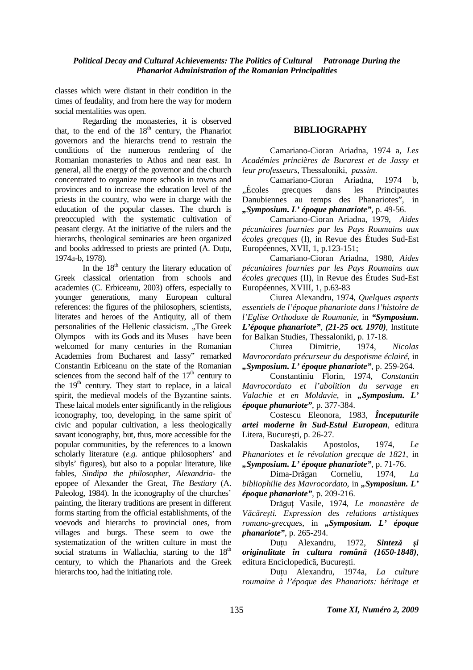classes which were distant in their condition in the times of feudality, and from here the way for modern social mentalities was open.

Regarding the monasteries, it is observed that, to the end of the  $18<sup>th</sup>$  century, the Phanariot governors and the hierarchs trend to restrain the conditions of the numerous rendering of the Romanian monasteries to Athos and near east. In general, all the energy of the governor and the church concentrated to organize more schools in towns and provinces and to increase the education level of the priests in the country, who were in charge with the education of the popular classes. The church is preoccupied with the systematic cultivation of peasant clergy. At the initiative of the rulers and the hierarchs, theological seminaries are been organized and books addressed to priests are printed (A. Dutu, 1974a-b, 1978).

In the  $18<sup>th</sup>$  century the literary education of Greek classical orientation from schools and academies (C. Erbiceanu, 2003) offers, especially to younger generations, many European cultural references: the figures of the philosophers, scientists, literates and heroes of the Antiquity, all of them personalities of the Hellenic classicism. "The Greek Olympos – with its Gods and its Muses – have been welcomed for many centuries in the Romanian Academies from Bucharest and Iassy" remarked Constantin Erbiceanu on the state of the Romanian sciences from the second half of the  $17<sup>th</sup>$  century to the  $19<sup>th</sup>$  century. They start to replace, in a laical spirit, the medieval models of the Byzantine saints. These laical models enter significantly in the religious iconography, too, developing, in the same spirit of civic and popular cultivation, a less theologically savant iconography, but, thus, more accessible for the popular communities, by the references to a known scholarly literature (*e.g.* antique philosophers' and sibyls' figures), but also to a popular literature, like fables, *Sindipa the philosopher*, *Alexandria*- the epopee of Alexander the Great, *The Bestiary* (A. Paleolog, 1984). In the iconography of the churches' painting, the literary traditions are present in different forms starting from the official establishments, of the voevods and hierarchs to provincial ones, from villages and burgs. These seem to owe the systematization of the written culture in most the social stratums in Wallachia, starting to the  $18<sup>th</sup>$ century, to which the Phanariots and the Greek hierarchs too, had the initiating role.

# **BIBLIOGRAPHY**

Camariano-Cioran Ariadna, 1974 a, *Les Académies princières de Bucarest et de Jassy et leur professeurs*, Thessaloniki, *passim*.

Camariano-Cioran Ariadna, 1974 b, "Écoles grecques dans les Principautes Danubiennes au temps des Phanariotes", in *"Symposium. L' époque phanariote"*, p. 49-56.

Camariano-Cioran Ariadna, 1979, *Aides pécuniaires fournies par les Pays Roumains aux écoles grecques* (I), in Revue des Études Sud-Est Européennes, XVII, 1, p.123-151;

Camariano-Cioran Ariadna, 1980, *Aides pécuniaires fournies par les Pays Roumains aux écoles grecques* (II), in Revue des Études Sud-Est Européennes, XVIII, 1, p.63-83

Ciurea Alexandru, 1974, *Quelques aspects essentiels de l'époque phanariote dans l'histoire de l'Eglise Orthodoxe de Roumanie*, in *"Symposium. L'époque phanariote"*, *(21-25 oct. 1970)*, Institute for Balkan Studies, Thessaloniki, p. 17-18.

Ciurea Dimitrie, 1974, *Nicolas Mavrocordato précurseur du despotisme éclairé*, in *"Symposium. L' époque phanariote"*, p. 259-264.

Constantiniu Florin, 1974, *Constantin Mavrocordato et l'abolition du servage en Valachie et en Moldavie*, in *"Symposium. L' époque phanariote"*, p. 377-384.

Costescu Eleonora, 1983, *Începuturile artei moderne în Sud-Estul European*, editura Litera, București, p. 26-27.

Daskalakis Apostolos, 1974, *Le Phanariotes et le révolution grecque de 1821*, in *"Symposium. L' époque phanariote"*, p. 71-76.

Dima-Drăgan Corneliu, 1974, *La bibliophilie des Mavrocordato*, in *"Symposium. L*' *époque phanariote",* p. 209-216.

Drăguț Vasile, 1974, *Le monastère de Văcăreşti. Expression des relations artistiques romano-grecques*, in *"Symposium. L' époque phanariote"*, p. 265-294.

Dutu Alexandru, 1972, *Sinteză și originalitate în cultura română (1650-1848)*, editura Enciclopedică, Bucureşti.

Dutu Alexandru, 1974a, *La culture roumaine à l'époque des Phanariots: héritage et*